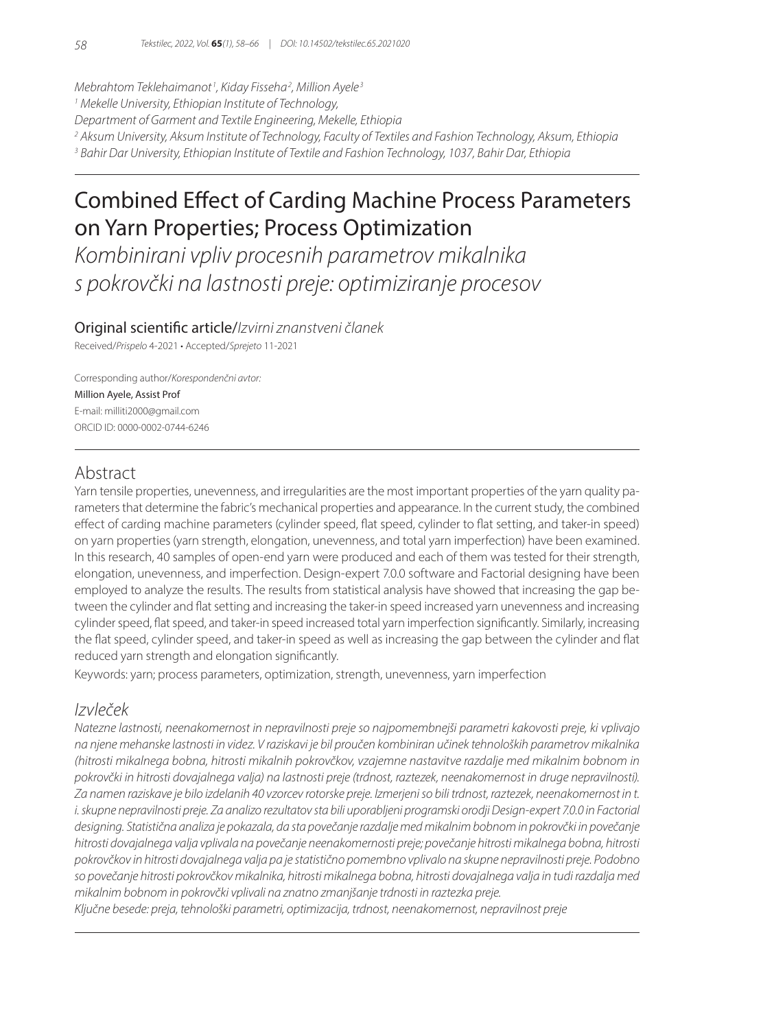*Mebrahtom Teklehaimanot <sup>1</sup> , Kiday Fisseha2 , Million Ayele <sup>3</sup>*

*1 Mekelle University, Ethiopian Institute of Technology,* 

*Department of Garment and Textile Engineering, Mekelle, Ethiopia*

*2 Aksum University, Aksum Institute of Technology, Faculty of Textiles and Fashion Technology, Aksum, Ethiopia*

*3 Bahir Dar University, Ethiopian Institute of Textile and Fashion Technology, 1037, Bahir Dar, Ethiopia*

# Combined Effect of Carding Machine Process Parameters on Yarn Properties; Process Optimization

*Kombinirani vpliv procesnih parametrov mikalnika s pokrovčki na lastnosti preje: optimiziranje procesov*

## Original scientific article/*Izvirni znanstveni članek*

Received/*Prispelo* 4-2021 • Accepted/*Sprejeto* 11-2021

Corresponding author/*Korespondenčni avtor:* Million Ayele, Assist Prof E-mail: milliti2000@gmail.com ORCID ID: 0000-0002-0744-6246

# Abstract

Yarn tensile properties, unevenness, and irregularities are the most important properties of the yarn quality parameters that determine the fabric's mechanical properties and appearance. In the current study, the combined effect of carding machine parameters (cylinder speed, flat speed, cylinder to flat setting, and taker-in speed) on yarn properties (yarn strength, elongation, unevenness, and total yarn imperfection) have been examined. In this research, 40 samples of open-end yarn were produced and each of them was tested for their strength, elongation, unevenness, and imperfection. Design-expert 7.0.0 software and Factorial designing have been employed to analyze the results. The results from statistical analysis have showed that increasing the gap between the cylinder and flat setting and increasing the taker-in speed increased yarn unevenness and increasing cylinder speed, flat speed, and taker-in speed increased total yarn imperfection significantly. Similarly, increasing the flat speed, cylinder speed, and taker-in speed as well as increasing the gap between the cylinder and flat reduced yarn strength and elongation significantly.

Keywords: yarn; process parameters, optimization, strength, unevenness, yarn imperfection

# *Izvleček*

*Natezne lastnosti, neenakomernost in nepravilnosti preje so najpomembnejši parametri kakovosti preje, ki vplivajo na njene mehanske lastnosti in videz. V raziskavi je bil proučen kombiniran učinek tehnoloških parametrov mikalnika (hitrosti mikalnega bobna, hitrosti mikalnih pokrovčkov, vzajemne nastavitve razdalje med mikalnim bobnom in pokrovčki in hitrosti dovajalnega valja) na lastnosti preje (trdnost, raztezek, neenakomernost in druge nepravilnosti). Za namen raziskave je bilo izdelanih 40 vzorcev rotorske preje. Izmerjeni so bili trdnost, raztezek, neenakomernost in t. i. skupne nepravilnosti preje. Za analizo rezultatov sta bili uporabljeni programski orodji Design-expert 7.0.0 in Factorial designing. Statistična analiza je pokazala, da sta povečanje razdalje med mikalnim bobnom in pokrovčki in povečanje hitrosti dovajalnega valja vplivala na povečanje neenakomernosti preje; povečanje hitrosti mikalnega bobna, hitrosti pokrovčkov in hitrosti dovajalnega valja pa je statistično pomembno vplivalo na skupne nepravilnosti preje. Podobno so povečanje hitrosti pokrovčkov mikalnika, hitrosti mikalnega bobna, hitrosti dovajalnega valja in tudi razdalja med mikalnim bobnom in pokrovčki vplivali na znatno zmanjšanje trdnosti in raztezka preje.*

*Ključne besede: preja, tehnološki parametri, optimizacija, trdnost, neenakomernost, nepravilnost preje*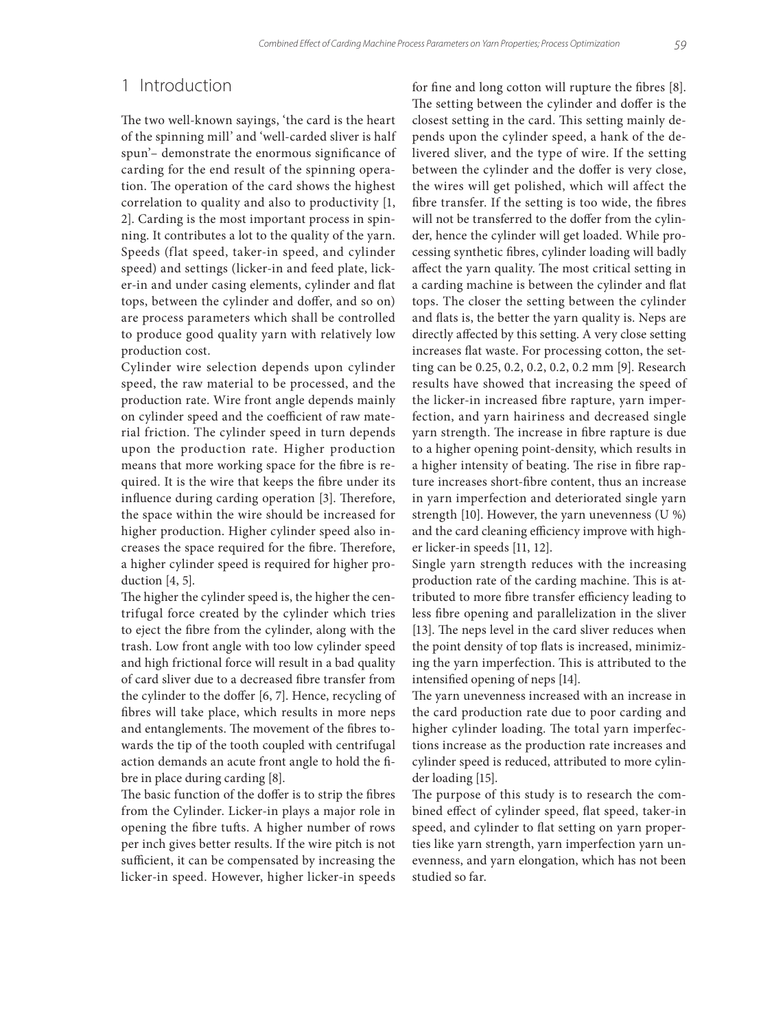# 1 Introduction

The two well-known sayings, 'the card is the heart of the spinning mill' and 'well-carded sliver is half spun'– demonstrate the enormous significance of carding for the end result of the spinning operation. The operation of the card shows the highest correlation to quality and also to productivity [1, 2]. Carding is the most important process in spinning. It contributes a lot to the quality of the yarn. Speeds (flat speed, taker-in speed, and cylinder speed) and settings (licker-in and feed plate, licker-in and under casing elements, cylinder and flat tops, between the cylinder and doffer, and so on) are process parameters which shall be controlled to produce good quality yarn with relatively low production cost.

Cylinder wire selection depends upon cylinder speed, the raw material to be processed, and the production rate. Wire front angle depends mainly on cylinder speed and the coefficient of raw material friction. The cylinder speed in turn depends upon the production rate. Higher production means that more working space for the fibre is required. It is the wire that keeps the fibre under its influence during carding operation [3]. Therefore, the space within the wire should be increased for higher production. Higher cylinder speed also increases the space required for the fibre. Therefore, a higher cylinder speed is required for higher production [4, 5].

The higher the cylinder speed is, the higher the centrifugal force created by the cylinder which tries to eject the fibre from the cylinder, along with the trash. Low front angle with too low cylinder speed and high frictional force will result in a bad quality of card sliver due to a decreased fibre transfer from the cylinder to the doffer [6, 7]. Hence, recycling of fibres will take place, which results in more neps and entanglements. The movement of the fibres towards the tip of the tooth coupled with centrifugal action demands an acute front angle to hold the fibre in place during carding [8].

The basic function of the doffer is to strip the fibres from the Cylinder. Licker-in plays a major role in opening the fibre tufts. A higher number of rows per inch gives better results. If the wire pitch is not sufficient, it can be compensated by increasing the licker-in speed. However, higher licker-in speeds for fine and long cotton will rupture the fibres [8]. The setting between the cylinder and doffer is the closest setting in the card. This setting mainly depends upon the cylinder speed, a hank of the delivered sliver, and the type of wire. If the setting between the cylinder and the doffer is very close, the wires will get polished, which will affect the fibre transfer. If the setting is too wide, the fibres will not be transferred to the doffer from the cylinder, hence the cylinder will get loaded. While processing synthetic fibres, cylinder loading will badly affect the yarn quality. The most critical setting in a carding machine is between the cylinder and flat tops. The closer the setting between the cylinder and flats is, the better the yarn quality is. Neps are directly affected by this setting. A very close setting increases flat waste. For processing cotton, the setting can be 0.25, 0.2, 0.2, 0.2, 0.2 mm [9]. Research results have showed that increasing the speed of the licker-in increased fibre rapture, yarn imperfection, and yarn hairiness and decreased single yarn strength. The increase in fibre rapture is due to a higher opening point-density, which results in a higher intensity of beating. The rise in fibre rapture increases short-fibre content, thus an increase in yarn imperfection and deteriorated single yarn strength [10]. However, the yarn unevenness (U %) and the card cleaning efficiency improve with higher licker-in speeds [11, 12].

Single yarn strength reduces with the increasing production rate of the carding machine. This is attributed to more fibre transfer efficiency leading to less fibre opening and parallelization in the sliver [13]. The neps level in the card sliver reduces when the point density of top flats is increased, minimizing the yarn imperfection. This is attributed to the intensified opening of neps [14].

The yarn unevenness increased with an increase in the card production rate due to poor carding and higher cylinder loading. The total yarn imperfections increase as the production rate increases and cylinder speed is reduced, attributed to more cylinder loading [15].

The purpose of this study is to research the combined effect of cylinder speed, flat speed, taker-in speed, and cylinder to flat setting on yarn properties like yarn strength, yarn imperfection yarn unevenness, and yarn elongation, which has not been studied so far.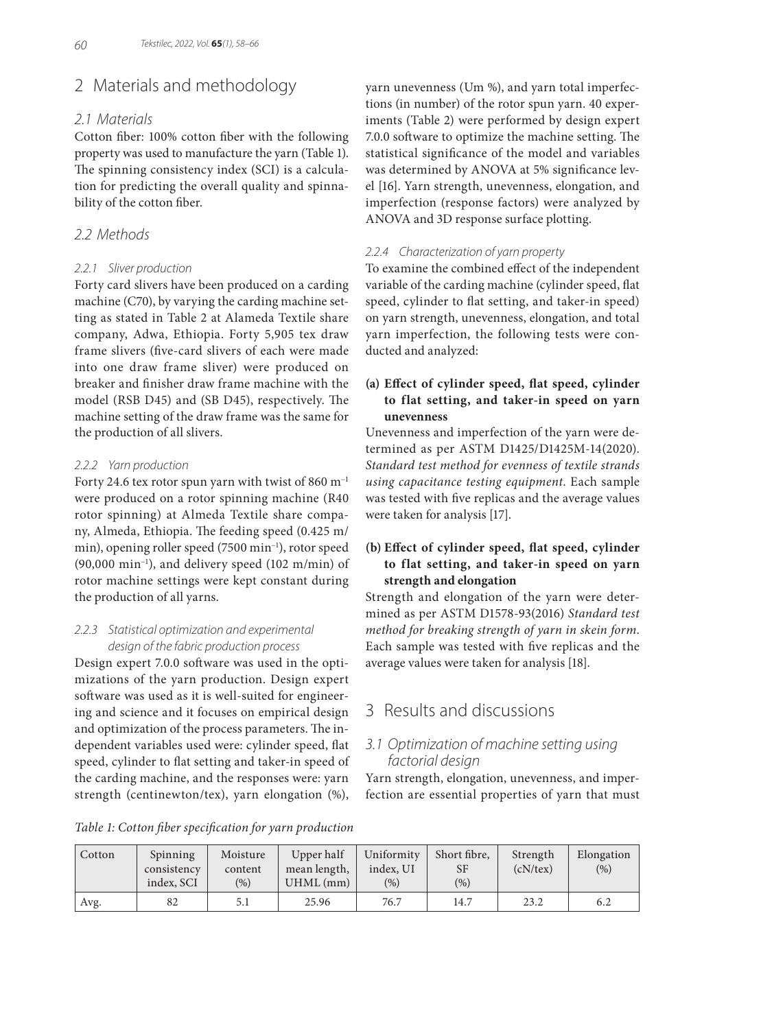# 2 Materials and methodology

#### *2.1 Materials*

Cotton fiber: 100% cotton fiber with the following property was used to manufacture the yarn (Table 1). The spinning consistency index (SCI) is a calculation for predicting the overall quality and spinnability of the cotton fiber.

## *2.2 Methods*

#### *2.2.1 Sliver production*

Forty card slivers have been produced on a carding machine (C70), by varying the carding machine setting as stated in Table 2 at Alameda Textile share company, Adwa, Ethiopia. Forty 5,905 tex draw frame slivers (five-card slivers of each were made into one draw frame sliver) were produced on breaker and finisher draw frame machine with the model (RSB D45) and (SB D45), respectively. The machine setting of the draw frame was the same for the production of all slivers.

#### *2.2.2 Yarn production*

Forty 24.6 tex rotor spun yarn with twist of 860 m−1 were produced on a rotor spinning machine (R40 rotor spinning) at Almeda Textile share company, Almeda, Ethiopia. The feeding speed (0.425 m/ min), opening roller speed (7500 min−1), rotor speed (90,000 min−1), and delivery speed (102 m/min) of rotor machine settings were kept constant during the production of all yarns.

#### *2.2.3 Statistical optimization and experimental design of the fabric production process*

Design expert 7.0.0 software was used in the optimizations of the yarn production. Design expert software was used as it is well-suited for engineering and science and it focuses on empirical design and optimization of the process parameters. The independent variables used were: cylinder speed, flat speed, cylinder to flat setting and taker-in speed of the carding machine, and the responses were: yarn strength (centinewton/tex), yarn elongation (%), yarn unevenness (Um %), and yarn total imperfections (in number) of the rotor spun yarn. 40 experiments (Table 2) were performed by design expert 7.0.0 software to optimize the machine setting. The statistical significance of the model and variables was determined by ANOVA at 5% significance level [16]. Yarn strength, unevenness, elongation, and imperfection (response factors) were analyzed by ANOVA and 3D response surface plotting.

#### *2.2.4 Characterization of yarn property*

To examine the combined effect of the independent variable of the carding machine (cylinder speed, flat speed, cylinder to flat setting, and taker-in speed) on yarn strength, unevenness, elongation, and total yarn imperfection, the following tests were conducted and analyzed:

## **(a) Effect of cylinder speed, flat speed, cylinder to flat setting, and taker-in speed on yarn unevenness**

Unevenness and imperfection of the yarn were determined as per ASTM D1425/D1425M-14(2020). *Standard test method for evenness of textile strands using capacitance testing equipment*. Each sample was tested with five replicas and the average values were taken for analysis [17].

## **(b) Effect of cylinder speed, flat speed, cylinder to flat setting, and taker-in speed on yarn strength and elongation**

Strength and elongation of the yarn were determined as per ASTM D1578-93(2016) *Standard test method for breaking strength of yarn in skein form*. Each sample was tested with five replicas and the average values were taken for analysis [18].

# 3 Results and discussions

## *3.1 Optimization of machine setting using factorial design*

Yarn strength, elongation, unevenness, and imperfection are essential properties of yarn that must

*Table 1: Cotton fiber specification for yarn production*

| Cotton | Spinning    | Moisture | Upper half   | Uniformity | Short fibre. | Strength       | Elongation |
|--------|-------------|----------|--------------|------------|--------------|----------------|------------|
|        | consistency | content  | mean length, | index, UI  | SF           | $(cN$ /tex $)$ | (%)        |
|        | index, SCI  | (%)      | $UHML$ (mm)  | (%)        | $(\%)$       |                |            |
| Avg.   | 82          | 5.1      | 25.96        | 76.7       | 14.7         | 23.2           | 6.2        |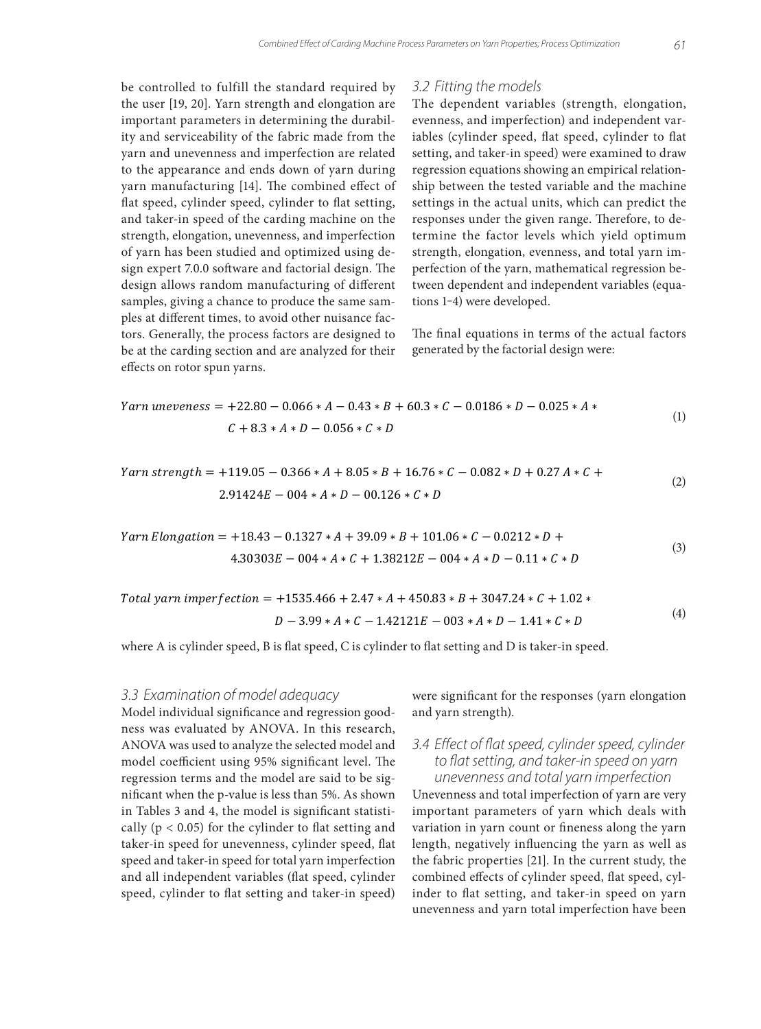be controlled to fulfill the standard required by the user [19, 20]. Yarn strength and elongation are important parameters in determining the durability and serviceability of the fabric made from the yarn and unevenness and imperfection are related to the appearance and ends down of yarn during yarn manufacturing [14]. The combined effect of flat speed, cylinder speed, cylinder to flat setting, and taker-in speed of the carding machine on the strength, elongation, unevenness, and imperfection of yarn has been studied and optimized using design expert 7.0.0 software and factorial design. The design allows random manufacturing of different samples, giving a chance to produce the same samples at different times, to avoid other nuisance factors. Generally, the process factors are designed to be at the carding section and are analyzed for their effects on rotor spun yarns.

#### *3.2 Fitting the models*

The dependent variables (strength, elongation, evenness, and imperfection) and independent variables (cylinder speed, flat speed, cylinder to flat setting, and taker-in speed) were examined to draw regression equations showing an empirical relationship between the tested variable and the machine settings in the actual units, which can predict the responses under the given range. Therefore, to determine the factor levels which yield optimum strength, elongation, evenness, and total yarn imperfection of the yarn, mathematical regression between dependent and independent variables (equations 1-4) were developed.

The final equations in terms of the actual factors generated by the factorial design were:

$$
Yarn\ uneveness = +22.80 - 0.066 * A - 0.43 * B + 60.3 * C - 0.0186 * D - 0.025 * A *C + 8.3 * A * D - 0.056 * C * D
$$
\n(1)

$$
Yarn\ strength = +119.05 - 0.366 * A + 8.05 * B + 16.76 * C - 0.082 * D + 0.27 A * C +
$$
  
2.91424E - 004 \* A \* D - 00.126 \* C \* D (2)

$$
Yarn\; Elongation = +18.43 - 0.1327 * A + 39.09 * B + 101.06 * C - 0.0212 * D +
$$
  

$$
4.30303E - 004 * A * C + 1.38212E - 004 * A * D - 0.11 * C * D
$$
  
(3)

Total *param imperfection* = +1535.466 + 2.47 \* *A* + 450.83 \* *B* + 3047.24 \* *C* + 1.02 \*  
\n
$$
D - 3.99 * A * C - 1.42121E - 003 * A * D - 1.41 * C * D
$$
\n(4)

where A is cylinder speed, B is flat speed, C is cylinder to flat setting and D is taker-in speed.

#### *3.3 Examination of model adequacy*

Model individual significance and regression goodness was evaluated by ANOVA. In this research, ANOVA was used to analyze the selected model and model coefficient using 95% significant level. The regression terms and the model are said to be significant when the p-value is less than 5%. As shown in Tables 3 and 4, the model is significant statistically ( $p < 0.05$ ) for the cylinder to flat setting and taker-in speed for unevenness, cylinder speed, flat speed and taker-in speed for total yarn imperfection and all independent variables (flat speed, cylinder speed, cylinder to flat setting and taker-in speed)

were significant for the responses (yarn elongation and yarn strength).

## *3.4 Effect of flat speed, cylinder speed, cylinder to flat setting, and taker-in speed on yarn unevenness and total yarn imperfection*

Unevenness and total imperfection of yarn are very important parameters of yarn which deals with variation in yarn count or fineness along the yarn length, negatively influencing the yarn as well as the fabric properties [21]. In the current study, the combined effects of cylinder speed, flat speed, cylinder to flat setting, and taker-in speed on yarn unevenness and yarn total imperfection have been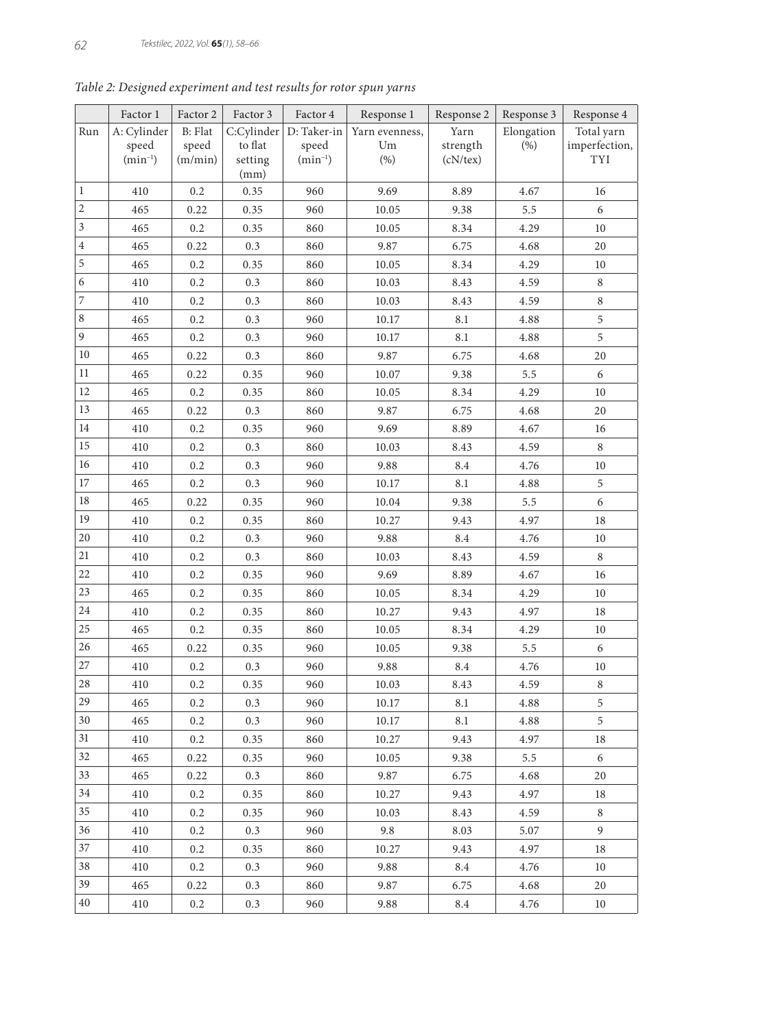|                | Factor 1     | Factor 2 | Factor 3        | Factor 4                    | Response 1     | Response 2 | Response 3 | Response 4    |
|----------------|--------------|----------|-----------------|-----------------------------|----------------|------------|------------|---------------|
| Run            | A: Cylinder  | B: Flat  |                 | $C:$ Cylinder   D: Taker-in | Yarn evenness, | Yarn       | Elongation | Total yarn    |
|                | speed        | speed    | to flat         | speed                       | Um             | strength   | (%)        | imperfection, |
|                | $(min^{-1})$ | (m/min)  | setting<br>(mm) | $(min^{-1})$                | (% )           | (cN/text)  |            | TYI           |
| $\mathbf{1}$   | 410          | 0.2      | 0.35            | 960                         | 9.69           | 8.89       | 4.67       | 16            |
| 2              | 465          | 0.22     | 0.35            | 960                         | 10.05          | 9.38       | 5.5        | 6             |
| 3              | 465          | 0.2      | 0.35            | 860                         | 10.05          | 8.34       | 4.29       | $10\,$        |
| $\overline{4}$ | 465          | 0.22     | 0.3             | 860                         | 9.87           | 6.75       | 4.68       | 20            |
| 5              | 465          | 0.2      | 0.35            | 860                         | 10.05          | 8.34       | 4.29       | 10            |
| 6              | 410          | 0.2      | 0.3             | 860                         | 10.03          | 8.43       | 4.59       | 8             |
| 7              | 410          | 0.2      | 0.3             | 860                         | 10.03          | 8.43       | 4.59       | $\,8\,$       |
| 8              | 465          | 0.2      | 0.3             | 960                         | 10.17          | 8.1        | 4.88       | 5             |
| $\overline{9}$ | 465          | 0.2      | 0.3             | 960                         | 10.17          | 8.1        | $4.88\,$   | 5             |
| 10             | 465          | 0.22     | 0.3             | 860                         | 9.87           | 6.75       | 4.68       | 20            |
| 11             | 465          | 0.22     | 0.35            | 960                         | 10.07          | 9.38       | 5.5        | 6             |
| 12             | 465          | 0.2      | 0.35            | 860                         | 10.05          | 8.34       | 4.29       | $10\,$        |
| 13             | 465          | 0.22     | 0.3             | 860                         | 9.87           | 6.75       | 4.68       | 20            |
| 14             | 410          | 0.2      | 0.35            | 960                         | 9.69           | 8.89       | 4.67       | 16            |
| 15             | 410          | 0.2      | 0.3             | 860                         | 10.03          | 8.43       | 4.59       | 8             |
| 16             | 410          | 0.2      | 0.3             | 960                         | 9.88           | 8.4        | 4.76       | 10            |
| 17             | 465          | 0.2      | 0.3             | 960                         | 10.17          | 8.1        | 4.88       | 5             |
| 18             | 465          | 0.22     | 0.35            | 960                         | 10.04          | 9.38       | 5.5        | 6             |
| 19             | 410          | 0.2      | 0.35            | 860                         | 10.27          | 9.43       | 4.97       | 18            |
| 20             | 410          | 0.2      | 0.3             | 960                         | 9.88           | 8.4        | 4.76       | 10            |
| 21             | 410          | 0.2      | 0.3             | 860                         | 10.03          | 8.43       | 4.59       | 8             |
| 22             | 410          | 0.2      | 0.35            | 960                         | 9.69           | 8.89       | 4.67       | 16            |
| 23             | 465          | 0.2      | 0.35            | 860                         | 10.05          | 8.34       | 4.29       | $10\,$        |
| 24             | 410          | 0.2      | 0.35            | 860                         | 10.27          | 9.43       | 4.97       | 18            |
| 25             | 465          | 0.2      | 0.35            | 860                         | 10.05          | 8.34       | 4.29       | $10\,$        |
| 26             | 465          | 0.22     | 0.35            | 960                         | 10.05          | 9.38       | 5.5        | 6             |
| $27\,$         | 410          | 0.2      | 0.3             | 960                         | 9.88           | 8.4        | 4.76       | $10\,$        |
| $28\,$         | 410          | 0.2      | 0.35            | 960                         | 10.03          | 8.43       | 4.59       | $\,8\,$       |
| 29             | 465          | 0.2      | 0.3             | 960                         | 10.17          | 8.1        | 4.88       | 5             |
| 30             | 465          | 0.2      | 0.3             | 960                         | 10.17          | 8.1        | 4.88       | 5             |
| 31             | 410          | 0.2      | 0.35            | 860                         | 10.27          | 9.43       | 4.97       | 18            |
| 32             | 465          | 0.22     | 0.35            | 960                         | 10.05          | 9.38       | 5.5        | 6             |
| 33             | 465          | 0.22     | 0.3             | 860                         | 9.87           | 6.75       | 4.68       | 20            |
| 34             | 410          | 0.2      | 0.35            | 860                         | 10.27          | 9.43       | 4.97       | 18            |
| 35             | 410          | 0.2      | 0.35            | 960                         | 10.03          | 8.43       | 4.59       | 8             |
| 36             | 410          | 0.2      | 0.3             | 960                         | 9.8            | 8.03       | 5.07       | 9             |
| 37             | 410          | 0.2      | 0.35            | 860                         | 10.27          | 9.43       | 4.97       | 18            |
| 38             | 410          | $0.2\,$  | 0.3             | 960                         | 9.88           | 8.4        | 4.76       | 10            |
| 39             | 465          | 0.22     | 0.3             | 860                         | 9.87           | 6.75       | 4.68       | 20            |
| 40             | 410          | 0.2      | 0.3             | 960                         | 9.88           | 8.4        | 4.76       | 10            |

*Table 2: Designed experiment and test results for rotor spun yarns*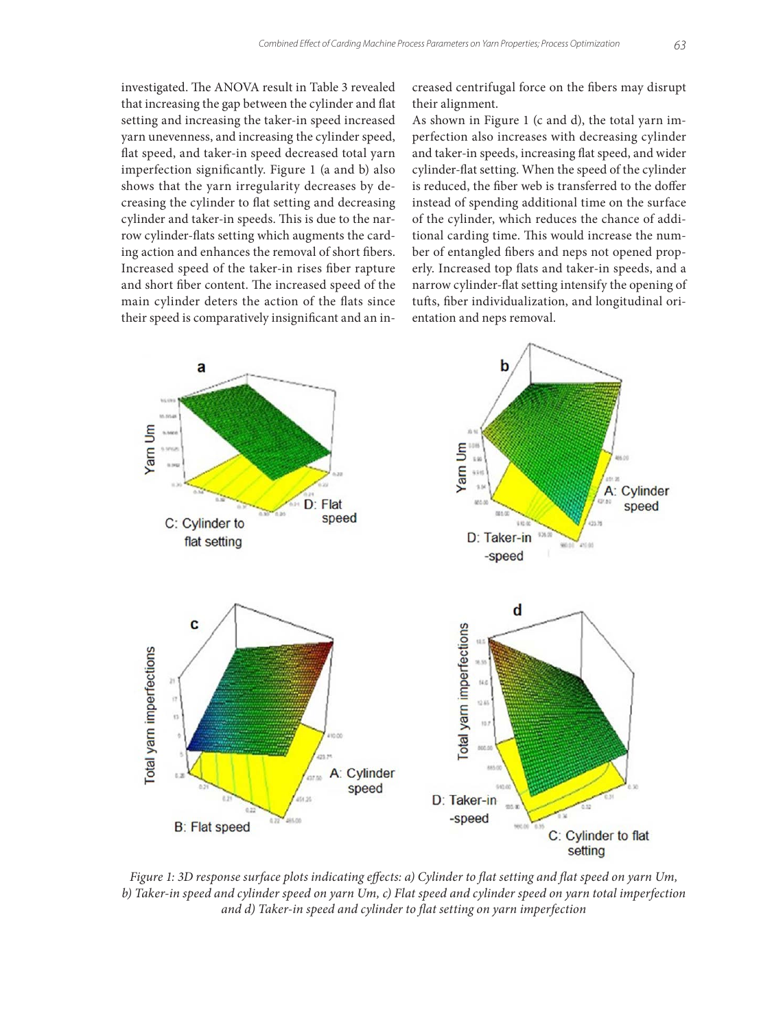investigated. The ANOVA result in Table 3 revealed that increasing the gap between the cylinder and flat setting and increasing the taker-in speed increased yarn unevenness, and increasing the cylinder speed, flat speed, and taker-in speed decreased total yarn imperfection significantly. Figure 1 (a and b) also shows that the yarn irregularity decreases by decreasing the cylinder to flat setting and decreasing cylinder and taker-in speeds. This is due to the narrow cylinder-flats setting which augments the carding action and enhances the removal of short fibers. Increased speed of the taker-in rises fiber rapture and short fiber content. The increased speed of the main cylinder deters the action of the flats since their speed is comparatively insignificant and an increased centrifugal force on the fibers may disrupt their alignment.

As shown in Figure 1 (c and d), the total yarn imperfection also increases with decreasing cylinder and taker-in speeds, increasing flat speed, and wider cylinder-flat setting. When the speed of the cylinder is reduced, the fiber web is transferred to the doffer instead of spending additional time on the surface of the cylinder, which reduces the chance of additional carding time. This would increase the number of entangled fibers and neps not opened properly. Increased top flats and taker-in speeds, and a narrow cylinder-flat setting intensify the opening of tufts, fiber individualization, and longitudinal orientation and neps removal.



*Figure 1: 3D response surface plots indicating effects: a) Cylinder to flat setting and flat speed on yarn Um, b) Taker-in speed and cylinder speed on yarn Um, c) Flat speed and cylinder speed on yarn total imperfection and d) Taker-in speed and cylinder to flat setting on yarn imperfection*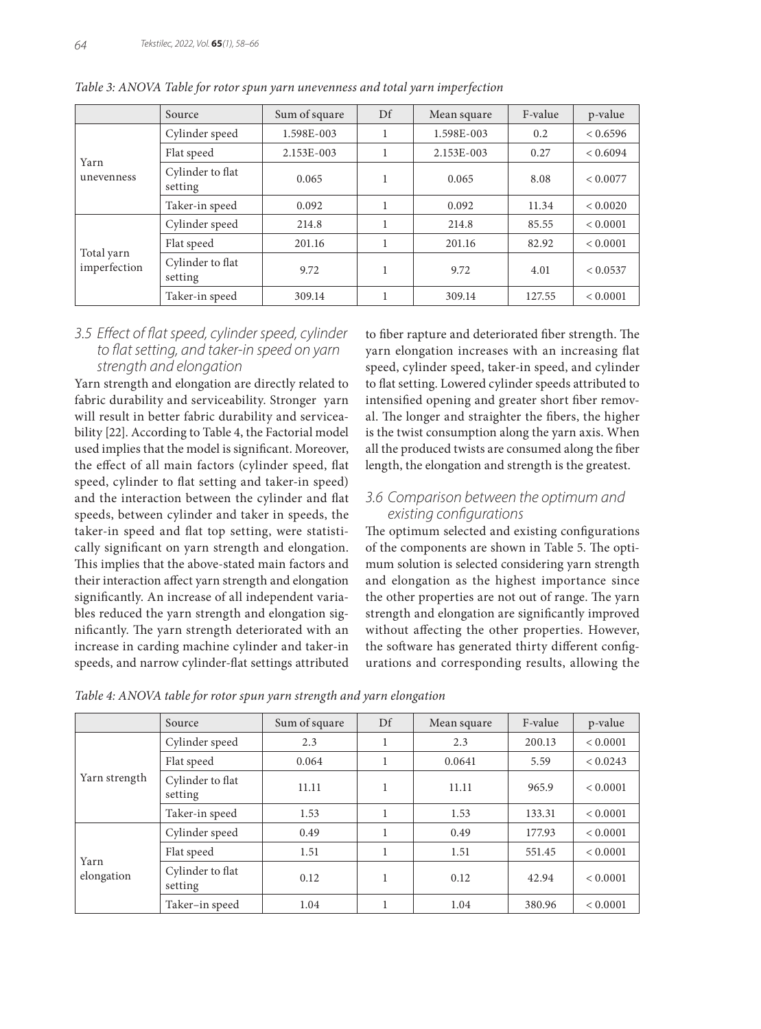|                            | Source                      | Sum of square | Df | Mean square | F-value | p-value  |
|----------------------------|-----------------------------|---------------|----|-------------|---------|----------|
|                            | Cylinder speed              | 1.598E-003    |    | 1.598E-003  | 0.2     | < 0.6596 |
| Yarn                       | Flat speed                  | 2.153E-003    |    | 2.153E-003  | 0.27    | < 0.6094 |
| unevenness                 | Cylinder to flat<br>setting | 0.065         |    | 0.065       | 8.08    | < 0.0077 |
|                            | Taker-in speed              | 0.092         |    | 0.092       | 11.34   | < 0.0020 |
|                            | Cylinder speed              | 214.8         |    | 214.8       | 85.55   | < 0.0001 |
|                            | Flat speed                  | 201.16        |    | 201.16      | 82.92   | < 0.0001 |
| Total yarn<br>imperfection | Cylinder to flat<br>setting | 9.72          |    | 9.72        | 4.01    | < 0.0537 |
|                            | Taker-in speed              | 309.14        |    | 309.14      | 127.55  | < 0.0001 |

*Table 3: ANOVA Table for rotor spun yarn unevenness and total yarn imperfection*

## *3.5 Effect of flat speed, cylinder speed, cylinder to flat setting, and taker-in speed on yarn strength and elongation*

Yarn strength and elongation are directly related to fabric durability and serviceability. Stronger yarn will result in better fabric durability and serviceability [22]. According to Table 4, the Factorial model used implies that the model is significant. Moreover, the effect of all main factors (cylinder speed, flat speed, cylinder to flat setting and taker-in speed) and the interaction between the cylinder and flat speeds, between cylinder and taker in speeds, the taker-in speed and flat top setting, were statistically significant on yarn strength and elongation. This implies that the above-stated main factors and their interaction affect yarn strength and elongation significantly. An increase of all independent variables reduced the yarn strength and elongation significantly. The yarn strength deteriorated with an increase in carding machine cylinder and taker-in speeds, and narrow cylinder-flat settings attributed to fiber rapture and deteriorated fiber strength. The yarn elongation increases with an increasing flat speed, cylinder speed, taker-in speed, and cylinder to flat setting. Lowered cylinder speeds attributed to intensified opening and greater short fiber removal. The longer and straighter the fibers, the higher is the twist consumption along the yarn axis. When all the produced twists are consumed along the fiber length, the elongation and strength is the greatest.

## *3.6 Comparison between the optimum and existing configurations*

The optimum selected and existing configurations of the components are shown in Table 5. The optimum solution is selected considering yarn strength and elongation as the highest importance since the other properties are not out of range. The yarn strength and elongation are significantly improved without affecting the other properties. However, the software has generated thirty different configurations and corresponding results, allowing the

|                    | Source                      | Sum of square | Df | Mean square | F-value | p-value  |
|--------------------|-----------------------------|---------------|----|-------------|---------|----------|
| Yarn strength      | Cylinder speed              | 2.3           |    | 2.3         | 200.13  | < 0.0001 |
|                    | Flat speed                  | 0.064         |    | 0.0641      | 5.59    | < 0.0243 |
|                    | Cylinder to flat<br>setting | 11.11         |    | 11.11       | 965.9   | < 0.0001 |
|                    | Taker-in speed              | 1.53          |    | 1.53        | 133.31  | < 0.0001 |
|                    | Cylinder speed              | 0.49          |    | 0.49        | 177.93  | < 0.0001 |
|                    | Flat speed                  | 1.51          |    | 1.51        | 551.45  | < 0.0001 |
| Yarn<br>elongation | Cylinder to flat<br>setting | 0.12          |    | 0.12        | 42.94   | < 0.0001 |
|                    | Taker–in speed              | 1.04          |    | 1.04        | 380.96  | < 0.0001 |

*Table 4: ANOVA table for rotor spun yarn strength and yarn elongation*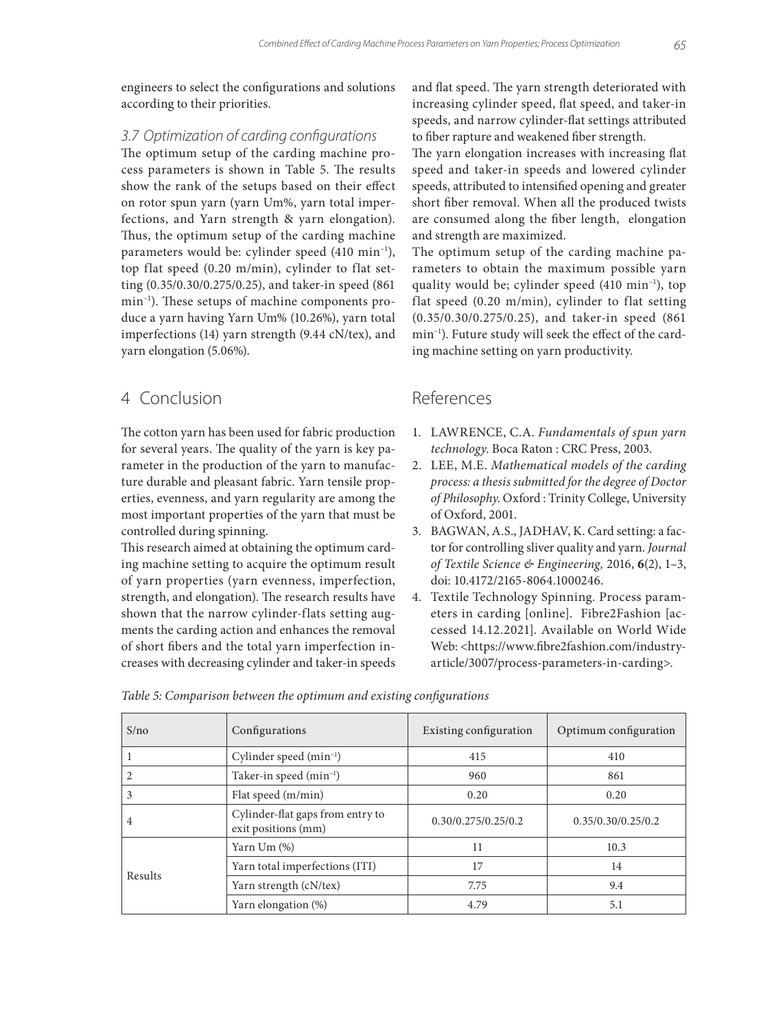engineers to select the configurations and solutions according to their priorities.

## *3.7 Optimization of carding configurations*

The optimum setup of the carding machine process parameters is shown in Table 5. The results show the rank of the setups based on their effect on rotor spun yarn (yarn Um%, yarn total imperfections, and Yarn strength & yarn elongation). Thus, the optimum setup of the carding machine parameters would be: cylinder speed (410 min−1), top flat speed (0.20 m/min), cylinder to flat setting (0.35/0.30/0.275/0.25), and taker-in speed (861 min−1). These setups of machine components produce a yarn having Yarn Um% (10.26%), yarn total imperfections (14) yarn strength (9.44 cN/tex), and yarn elongation (5.06%).

# 4 Conclusion

The cotton yarn has been used for fabric production for several years. The quality of the yarn is key parameter in the production of the yarn to manufacture durable and pleasant fabric. Yarn tensile properties, evenness, and yarn regularity are among the most important properties of the yarn that must be controlled during spinning.

This research aimed at obtaining the optimum carding machine setting to acquire the optimum result of yarn properties (yarn evenness, imperfection, strength, and elongation). The research results have shown that the narrow cylinder-flats setting augments the carding action and enhances the removal of short fibers and the total yarn imperfection increases with decreasing cylinder and taker-in speeds

and flat speed. The yarn strength deteriorated with increasing cylinder speed, flat speed, and taker-in speeds, and narrow cylinder-flat settings attributed to fiber rapture and weakened fiber strength.

The yarn elongation increases with increasing flat speed and taker-in speeds and lowered cylinder speeds, attributed to intensified opening and greater short fiber removal. When all the produced twists are consumed along the fiber length, elongation and strength are maximized.

The optimum setup of the carding machine parameters to obtain the maximum possible yarn quality would be; cylinder speed (410 min<sup>-1</sup>), top flat speed (0.20 m/min), cylinder to flat setting (0.35/0.30/0.275/0.25), and taker-in speed (861 min−1). Future study will seek the effect of the carding machine setting on yarn productivity.

# References

- 1. LAWRENCE, C.A. *Fundamentals of spun yarn technology*. Boca Raton : CRC Press, 2003.
- 2. LEE, M.E. *Mathematical models of the carding process: a thesis submitted for the degree of Doctor of Philosophy*. Oxford : Trinity College, University of Oxford, 2001.
- 3. BAGWAN, A.S., JADHAV, K. Card setting: a factor for controlling sliver quality and yarn. *Journal of Textile Science & Engineering,* 2016, **6**(2), 1–3, doi: 10.4172/2165-8064.1000246.
- 4. Textile Technology Spinning. Process parameters in carding [online]. Fibre2Fashion [accessed 14.12.2021]. Available on World Wide Web: <https://www.fibre2fashion.com/industryarticle/3007/process-parameters-in-carding>.

| S/no    | Configurations                                          | Existing configuration | Optimum configuration |  |
|---------|---------------------------------------------------------|------------------------|-----------------------|--|
|         | Cylinder speed (min <sup>-1</sup> )                     | 415                    | 410                   |  |
| 2       | Taker-in speed (min <sup>-1</sup> )                     | 960                    | 861                   |  |
| 3       | Flat speed (m/min)                                      | 0.20                   | 0.20                  |  |
| 4       | Cylinder-flat gaps from entry to<br>exit positions (mm) | 0.30/0.275/0.25/0.2    | 0.35/0.30/0.25/0.2    |  |
|         | Yarn $Um$ $%$                                           | 11                     | 10.3                  |  |
| Results | Yarn total imperfections (ITI)                          | 17                     | 14                    |  |
|         | Yarn strength (cN/tex)                                  | 7.75                   | 9.4                   |  |
|         | Yarn elongation (%)                                     | 4.79                   | 5.1                   |  |

*Table 5: Comparison between the optimum and existing configurations*